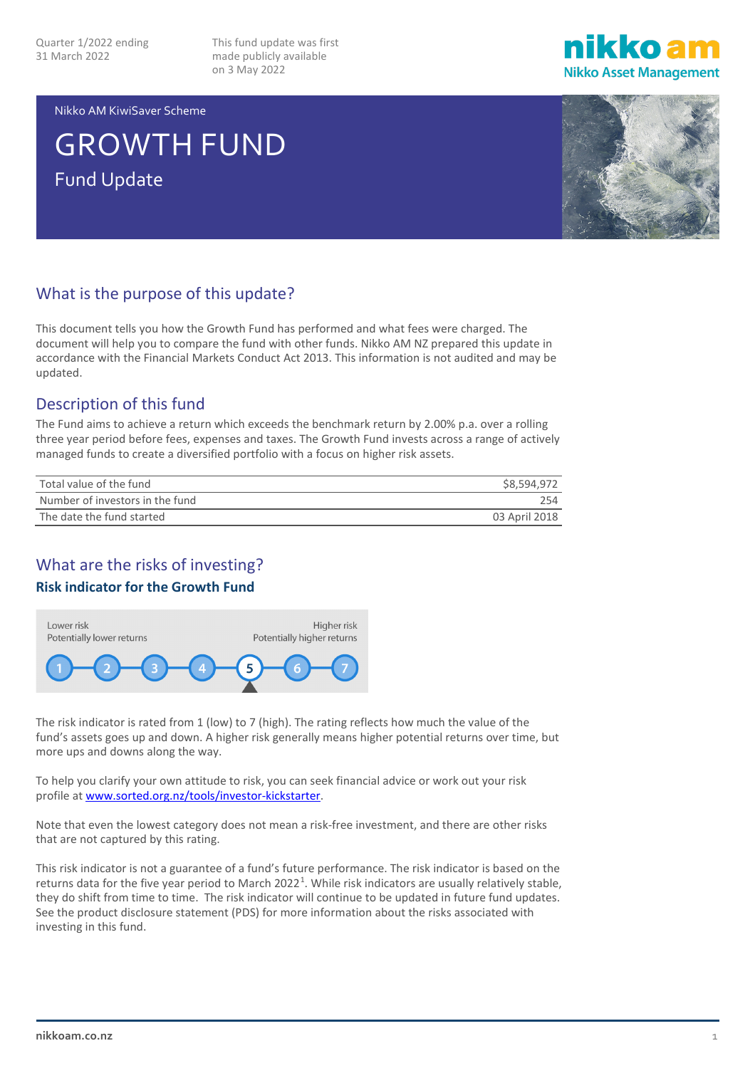This fund update was first made publicly available on 3 May 2022



Nikko AM KiwiSaver Scheme

# GROWTH FUND Fund Update



## What is the purpose of this update?

This document tells you how the Growth Fund has performed and what fees were charged. The document will help you to compare the fund with other funds. Nikko AM NZ prepared this update in accordance with the Financial Markets Conduct Act 2013. This information is not audited and may be updated.

## Description of this fund

The Fund aims to achieve a return which exceeds the benchmark return by 2.00% p.a. over a rolling three year period before fees, expenses and taxes. The Growth Fund invests across a range of actively managed funds to create a diversified portfolio with a focus on higher risk assets.

| Total value of the fund         | \$8,594,972   |
|---------------------------------|---------------|
| Number of investors in the fund | 254           |
| The date the fund started       | 03 April 2018 |

## What are the risks of investing?

## **Risk indicator for the Growth Fund**



The risk indicator is rated from 1 (low) to 7 (high). The rating reflects how much the value of the fund's assets goes up and down. A higher risk generally means higher potential returns over time, but more ups and downs along the way.

To help you clarify your own attitude to risk, you can seek financial advice or work out your risk profile a[t www.sorted.org.nz/tools/investor-kickstarter.](http://www.sorted.org.nz/tools/investor-kickstarter)

Note that even the lowest category does not mean a risk-free investment, and there are other risks that are not captured by this rating.

This risk indicator is not a guarantee of a fund's future performance. The risk indicator is based on the returns data for the five year period to March 2022<sup>[1](#page-4-0)</sup>. While risk indicators are usually relatively stable, they do shift from time to time. The risk indicator will continue to be updated in future fund updates. See the product disclosure statement (PDS) for more information about the risks associated with investing in this fund.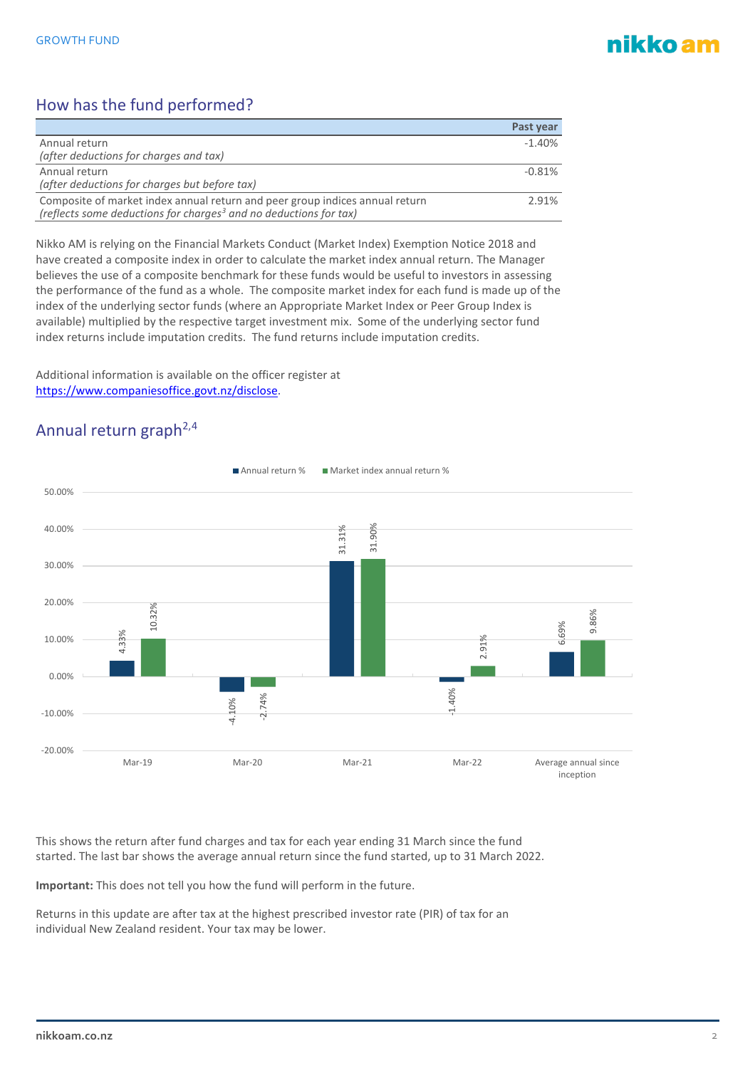## nikko am

## How has the fund performed?

|                                                                                                                                                               | Past year |
|---------------------------------------------------------------------------------------------------------------------------------------------------------------|-----------|
| Annual return                                                                                                                                                 | $-1.40%$  |
| (after deductions for charges and tax)                                                                                                                        |           |
| Annual return                                                                                                                                                 | $-0.81%$  |
| (after deductions for charges but before tax)                                                                                                                 |           |
| Composite of market index annual return and peer group indices annual return<br>(reflects some deductions for charges <sup>3</sup> and no deductions for tax) | 2.91%     |

Nikko AM is relying on the Financial Markets Conduct (Market Index) Exemption Notice 2018 and have created a composite index in order to calculate the market index annual return. The Manager believes the use of a composite benchmark for these funds would be useful to investors in assessing the performance of the fund as a whole. The composite market index for each fund is made up of the index of the underlying sector funds (where an Appropriate Market Index or Peer Group Index is available) multiplied by the respective target investment mix. Some of the underlying sector fund index returns include imputation credits. The fund returns include imputation credits.

Additional information is available on the officer register at [https://www.companiesoffice.govt.nz/disclose.](https://www.companiesoffice.govt.nz/disclose)

## Annual return graph<sup>2,[4](#page-4-3)</sup>



This shows the return after fund charges and tax for each year ending 31 March since the fund started. The last bar shows the average annual return since the fund started, up to 31 March 2022.

**Important:** This does not tell you how the fund will perform in the future.

Returns in this update are after tax at the highest prescribed investor rate (PIR) of tax for an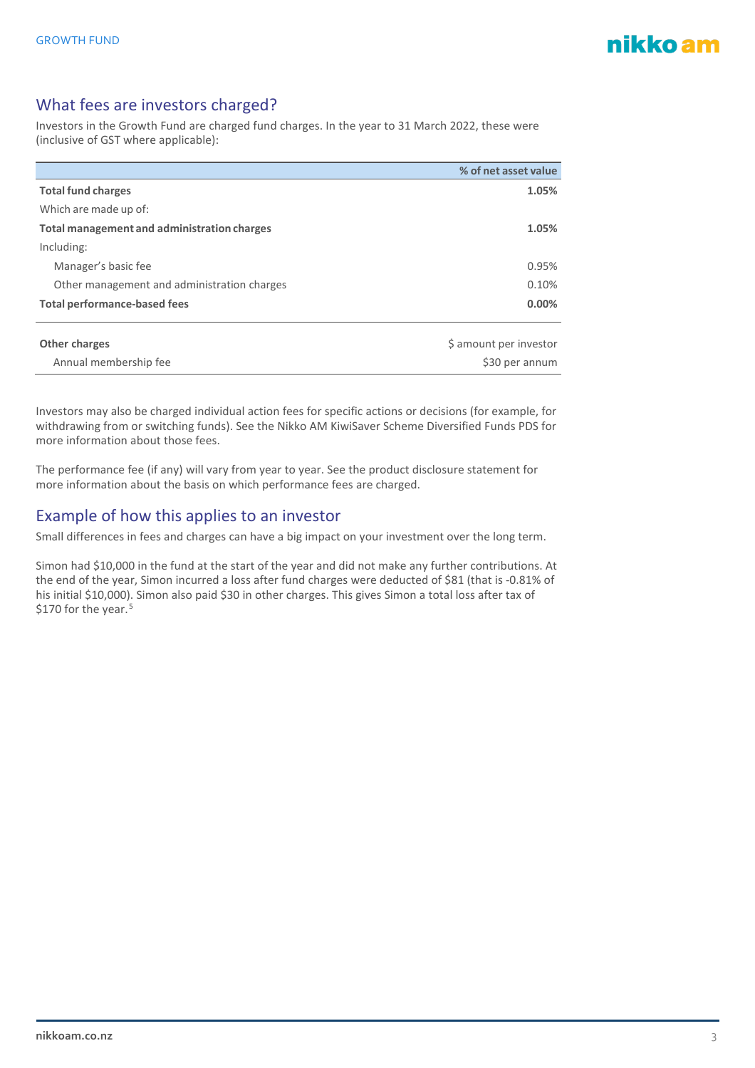

## What fees are investors charged?

Investors in the Growth Fund are charged fund charges. In the year to 31 March 2022, these were (inclusive of GST where applicable):

|                                             | % of net asset value   |
|---------------------------------------------|------------------------|
| <b>Total fund charges</b>                   | 1.05%                  |
| Which are made up of:                       |                        |
| Total management and administration charges | 1.05%                  |
| Including:                                  |                        |
| Manager's basic fee                         | 0.95%                  |
| Other management and administration charges | 0.10%                  |
| <b>Total performance-based fees</b>         | 0.00%                  |
|                                             |                        |
| Other charges                               | \$ amount per investor |

|                       | $\tau$ and a set of $\mu$ and the set of $\tau$ |
|-----------------------|-------------------------------------------------|
| Annual membership fee | \$30 per annum                                  |
|                       |                                                 |

Investors may also be charged individual action fees for specific actions or decisions (for example, for withdrawing from or switching funds). See the Nikko AM KiwiSaver Scheme Diversified Funds PDS for more information about those fees.

The performance fee (if any) will vary from year to year. See the product disclosure statement for more information about the basis on which performance fees are charged.

## Example of how this applies to an investor

Small differences in fees and charges can have a big impact on your investment over the long term.

Simon had \$10,000 in the fund at the start of the year and did not make any further contributions. At the end of the year, Simon incurred a loss after fund charges were deducted of \$81 (that is -0.81% of his initial \$10,000). Simon also paid \$30 in other charges. This gives Simon a total loss after tax of \$170 for the year.<sup>[5](#page-4-4)</sup>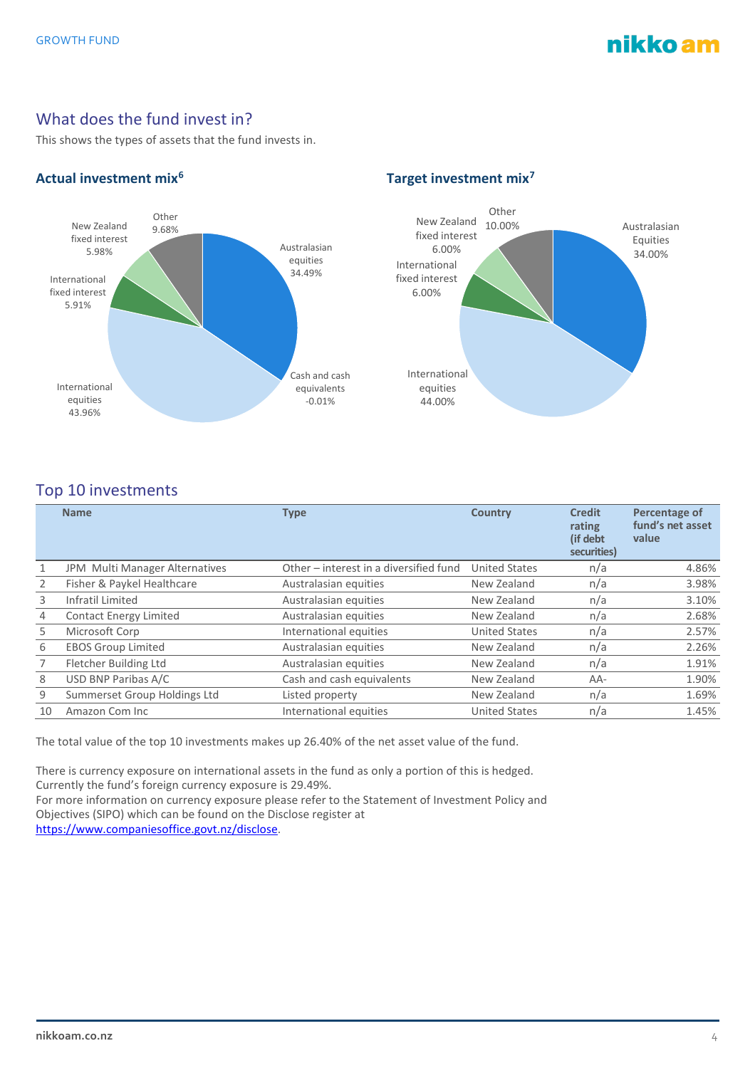## nikko am

## What does the fund invest in?

This shows the types of assets that the fund invests in.



## **Actual investment mix[6](#page-4-5) Target investment mix[7](#page-4-6)**



## Top 10 investments

|    | <b>Name</b>                    | <b>Type</b>                            | <b>Country</b>       | <b>Credit</b><br>rating<br>(if debt<br>securities) | Percentage of<br>fund's net asset<br>value |
|----|--------------------------------|----------------------------------------|----------------------|----------------------------------------------------|--------------------------------------------|
| 1  | JPM Multi Manager Alternatives | Other – interest in a diversified fund | <b>United States</b> | n/a                                                | 4.86%                                      |
| 2  | Fisher & Paykel Healthcare     | Australasian equities                  | New Zealand          | n/a                                                | 3.98%                                      |
| 3  | Infratil Limited               | Australasian equities                  | New Zealand          | n/a                                                | 3.10%                                      |
| 4  | <b>Contact Energy Limited</b>  | Australasian equities                  | New Zealand          | n/a                                                | 2.68%                                      |
| 5  | Microsoft Corp                 | International equities                 | <b>United States</b> | n/a                                                | 2.57%                                      |
| 6  | <b>EBOS Group Limited</b>      | Australasian equities                  | New Zealand          | n/a                                                | 2.26%                                      |
|    | Fletcher Building Ltd          | Australasian equities                  | New Zealand          | n/a                                                | 1.91%                                      |
| 8  | USD BNP Paribas A/C            | Cash and cash equivalents              | New Zealand          | AA-                                                | 1.90%                                      |
| 9  | Summerset Group Holdings Ltd   | Listed property                        | New Zealand          | n/a                                                | 1.69%                                      |
| 10 | Amazon Com Inc                 | International equities                 | <b>United States</b> | n/a                                                | 1.45%                                      |

The total value of the top 10 investments makes up 26.40% of the net asset value of the fund.

There is currency exposure on international assets in the fund as only a portion of this is hedged. Currently the fund's foreign currency exposure is 29.49%.

For more information on currency exposure please refer to the Statement of Investment Policy and Objectives (SIPO) which can be found on the Disclose register at [https://www.companiesoffice.govt.nz/disclose.](https://www.companiesoffice.govt.nz/disclose)